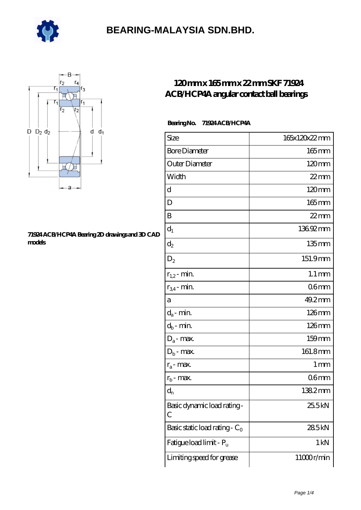



#### **[71924 ACB/HCP4A Bearing 2D drawings and 3D CAD](https://m.e-marc.net/pic-65141629.html) [models](https://m.e-marc.net/pic-65141629.html)**

### **[120 mm x 165 mm x 22 mm SKF 71924](https://m.e-marc.net/skf-71924-acb-hcp4a-bearing/) [ACB/HCP4A angular contact ball bearings](https://m.e-marc.net/skf-71924-acb-hcp4a-bearing/)**

#### **Bearing No. 71924 ACB/HCP4A**

| Size                             | 165x120x22mm        |
|----------------------------------|---------------------|
| <b>Bore Diameter</b>             | 165mm               |
| Outer Diameter                   | 120mm               |
| Width                            | $22$ mm             |
| d                                | $120 \text{mm}$     |
| D                                | $165$ mm            |
| B                                | $22$ mm             |
| $d_1$                            | 13692mm             |
| $\mathrm{d}_2$                   | $135$ mm            |
| $D_2$                            | 151.9mm             |
| $r_{1,2}$ - min.                 | $1.1 \,\mathrm{mm}$ |
| $r_{34}$ - min.                  | 06 <sub>mm</sub>    |
| а                                | 49.2mm              |
| $d_a$ - min.                     | 126mm               |
| $d_b$ - min.                     | 126mm               |
| $D_a$ - max.                     | $159$ mm            |
| $D_b$ - max.                     | 161.8mm             |
| $r_a$ - max.                     | 1 mm                |
| $r_{b}$ - max.                   | 06 <sub>mm</sub>    |
| $d_{n}$                          | 1382mm              |
| Basic dynamic load rating-<br>С  | 25.5kN              |
| Basic static load rating - $C_0$ | 285kN               |
| Fatigue load limit - Pu          | $1 \,\mathrm{kN}$   |
| Limiting speed for grease        | 11000r/min          |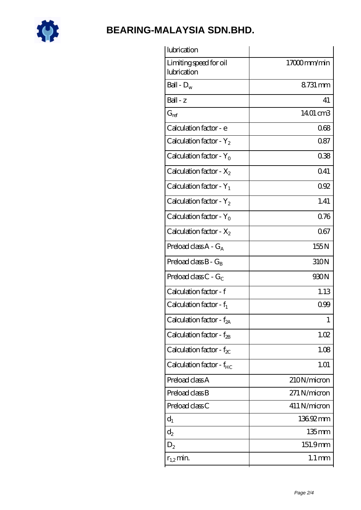

| lubrication                           |                     |
|---------------------------------------|---------------------|
| Limiting speed for oil<br>lubrication | 17000mm/min         |
| Ball - $D_w$                          | 8731 mm             |
| Ball - z                              | 41                  |
| $G_{ref}$                             | 1401 cm3            |
| Calculation factor - e                | 068                 |
| Calculation factor - $Y_2$            | 0.87                |
| Calculation factor - $Y_0$            | 038                 |
| Calculation factor - $X_2$            | 0.41                |
| Calculation factor - $Y_1$            | 092                 |
| Calculation factor - $Y_2$            | 1.41                |
| Calculation factor - $Y_0$            | 0.76                |
| Calculation factor - $X_2$            | 067                 |
| Preload class $A - G_A$               | 155N                |
| Preload class $B - G_B$               | 310N                |
| Preload class $C - G_C$               | 930N                |
| Calculation factor - f                | 1.13                |
| Calculation factor - $f_1$            | 099                 |
| Calculation factor - f <sub>2A</sub>  | 1                   |
| Calculation factor - f <sub>2B</sub>  | 1.02                |
| Calculation factor - $f_{\chi}$       | 1.08                |
| Calculation factor - f <sub>HC</sub>  | 1.01                |
| Preload class A                       | 210N/micron         |
| Preload class B                       | 271 N/micron        |
| Preload class C                       | 411 N/micron        |
| $d_1$                                 | 13692mm             |
| $d_2$                                 | $135$ mm            |
| $D_2$                                 | 151.9mm             |
| $r_{1,2}$ min.                        | $1.1 \,\mathrm{mm}$ |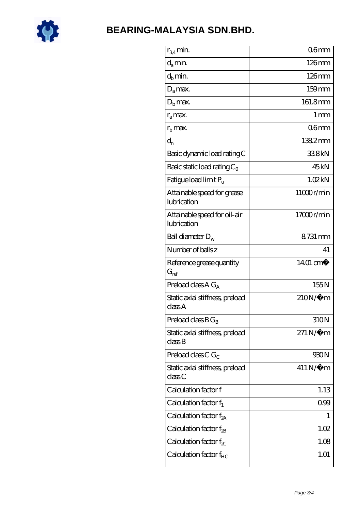

| $r_{34}$ min.                               | 06 <sub>mm</sub>       |
|---------------------------------------------|------------------------|
| $d_a$ min.                                  | 126mm                  |
| $d_b$ min.                                  | $126$ mm               |
| $D_a$ max.                                  | $159$ mm               |
| $D_{\rm b}$ max.                            | 161.8mm                |
| $r_a$ max.                                  | $1 \,\mathrm{mm}$      |
| $r_{\rm b}$ max.                            | 06 <sub>mm</sub>       |
| $d_{n}$                                     | 1382mm                 |
| Basic dynamic load rating C                 | 338kN                  |
| Basic static load rating $C_0$              | 45 <sub>kN</sub>       |
| Fatigue load limit Pu                       | 1.02kN                 |
| Attainable speed for grease<br>lubrication  | 11000r/min             |
| Attainable speed for oil-air<br>lubrication | 17000r/min             |
| Ball diameter $D_w$                         | 8731 mm                |
| Number of balls z                           | 41                     |
| Reference grease quantity<br>$G_{ref}$      | 14.01 cm <sup>3</sup>  |
| Preload class $A G_A$                       | 155N                   |
| Static axial stiffness, preload<br>classA   | $210N/\mu$ m           |
| Preload class $BG_B$                        | 310N                   |
| Static axial stiffness, preload<br>classB   | $271\,\mathrm{N}\mu$ m |
| Preload class C $G_C$                       | 930N                   |
| Static axial stiffness, preload<br>classC   | $411$ N/ $\mu$ m       |
| Calculation factor f                        | 1.13                   |
| Calculation factor $f_1$                    | 0.99                   |
| Calculation factor $f_{2A}$                 | 1                      |
| Calculation factor f <sub>2B</sub>          | 1.02                   |
| Calculation factor $f_{\chi}$               | 1.08                   |
| Calculation factor f <sub>HC</sub>          | 1.01                   |
|                                             |                        |